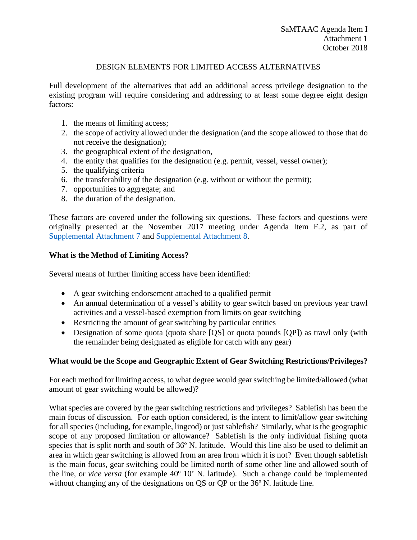### DESIGN ELEMENTS FOR LIMITED ACCESS ALTERNATIVES

Full development of the alternatives that add an additional access privilege designation to the existing program will require considering and addressing to at least some degree eight design factors:

- 1. the means of limiting access;
- 2. the scope of activity allowed under the designation (and the scope allowed to those that do not receive the designation);
- 3. the geographical extent of the designation,
- 4. the entity that qualifies for the designation (e.g. permit, vessel, vessel owner);
- 5. the qualifying criteria
- 6. the transferability of the designation (e.g. without or without the permit);
- 7. opportunities to aggregate; and
- 8. the duration of the designation.

These factors are covered under the following six questions. These factors and questions were originally presented at the November 2017 meeting under Agenda Item F.2, as part of [Supplemental Attachment 7](https://www.pcouncil.org/wp-content/uploads/2017/11/F2_Sup_Att7_SAMGS_Process_NOV2017BB.pdf) and [Supplemental Attachment 8.](https://www.pcouncil.org/wp-content/uploads/2017/11/F2_Sup_Att8_GearSwitching_Options_NOV2017BB.pdf)

#### **What is the Method of Limiting Access?**

Several means of further limiting access have been identified:

- A gear switching endorsement attached to a qualified permit
- An annual determination of a vessel's ability to gear switch based on previous year trawl activities and a vessel-based exemption from limits on gear switching
- Restricting the amount of gear switching by particular entities
- Designation of some quota (quota share [QS] or quota pounds [QP]) as trawl only (with the remainder being designated as eligible for catch with any gear)

#### **What would be the Scope and Geographic Extent of Gear Switching Restrictions/Privileges?**

For each method for limiting access, to what degree would gear switching be limited/allowed (what amount of gear switching would be allowed)?

What species are covered by the gear switching restrictions and privileges? Sablefish has been the main focus of discussion. For each option considered, is the intent to limit/allow gear switching for all species (including, for example, lingcod) or just sablefish? Similarly, what is the geographic scope of any proposed limitation or allowance? Sablefish is the only individual fishing quota species that is split north and south of 36º N. latitude. Would this line also be used to delimit an area in which gear switching is allowed from an area from which it is not? Even though sablefish is the main focus, gear switching could be limited north of some other line and allowed south of the line, or *vice versa* (for example 40º 10' N. latitude). Such a change could be implemented without changing any of the designations on QS or QP or the 36º N. latitude line.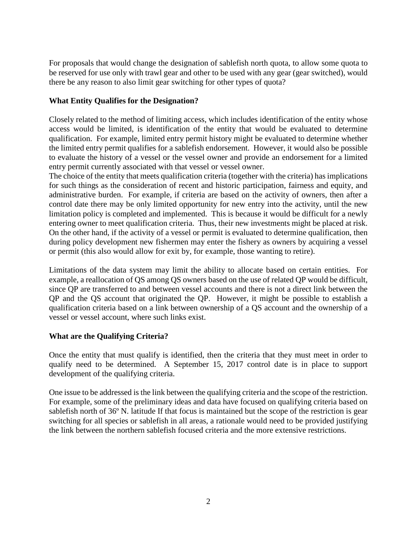For proposals that would change the designation of sablefish north quota, to allow some quota to be reserved for use only with trawl gear and other to be used with any gear (gear switched), would there be any reason to also limit gear switching for other types of quota?

## **What Entity Qualifies for the Designation?**

Closely related to the method of limiting access, which includes identification of the entity whose access would be limited, is identification of the entity that would be evaluated to determine qualification. For example, limited entry permit history might be evaluated to determine whether the limited entry permit qualifies for a sablefish endorsement. However, it would also be possible to evaluate the history of a vessel or the vessel owner and provide an endorsement for a limited entry permit currently associated with that vessel or vessel owner.

The choice of the entity that meets qualification criteria (together with the criteria) has implications for such things as the consideration of recent and historic participation, fairness and equity, and administrative burden. For example, if criteria are based on the activity of owners, then after a control date there may be only limited opportunity for new entry into the activity, until the new limitation policy is completed and implemented. This is because it would be difficult for a newly entering owner to meet qualification criteria. Thus, their new investments might be placed at risk. On the other hand, if the activity of a vessel or permit is evaluated to determine qualification, then during policy development new fishermen may enter the fishery as owners by acquiring a vessel or permit (this also would allow for exit by, for example, those wanting to retire).

Limitations of the data system may limit the ability to allocate based on certain entities. For example, a reallocation of QS among QS owners based on the use of related QP would be difficult, since QP are transferred to and between vessel accounts and there is not a direct link between the QP and the QS account that originated the QP. However, it might be possible to establish a qualification criteria based on a link between ownership of a QS account and the ownership of a vessel or vessel account, where such links exist.

# **What are the Qualifying Criteria?**

Once the entity that must qualify is identified, then the criteria that they must meet in order to qualify need to be determined. A September 15, 2017 control date is in place to support development of the qualifying criteria.

One issue to be addressed is the link between the qualifying criteria and the scope of the restriction. For example, some of the preliminary ideas and data have focused on qualifying criteria based on sablefish north of 36º N. latitude If that focus is maintained but the scope of the restriction is gear switching for all species or sablefish in all areas, a rationale would need to be provided justifying the link between the northern sablefish focused criteria and the more extensive restrictions.